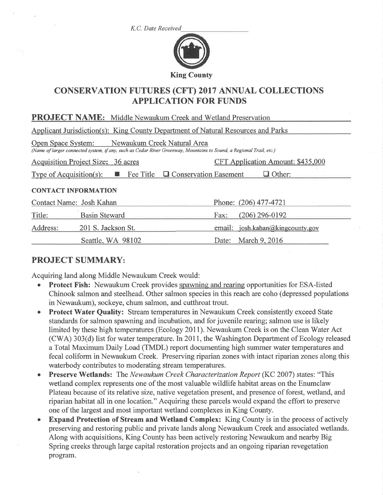K.C. Date Received



# CONSERVATION FUTURES (CFT) 2017 ANNUAL COLLECTIONS APPLICATION FOR FUNDS

| <b>PROJECT NAME:</b> Middle Newaukum Creek and Wetland Preservation                                                                                                   |                                          |  |  |  |
|-----------------------------------------------------------------------------------------------------------------------------------------------------------------------|------------------------------------------|--|--|--|
| Applicant Jurisdiction(s): King County Department of Natural Resources and Parks                                                                                      |                                          |  |  |  |
| Open Space System: Newaukum Creek Natural Area<br>(Name of larger connected system, if any, such as Cedar River Greenway, Mountains to Sound, a Regional Trail, etc.) |                                          |  |  |  |
| <b>Acquisition Project Size: 36 acres</b>                                                                                                                             | <b>CFT Application Amount: \$435,000</b> |  |  |  |
| Type of Acquisition(s): $\Box$ Fee Title $\Box$ Conservation Easement<br>$\Box$ Other:                                                                                |                                          |  |  |  |
| <b>CONTACT INFORMATION</b>                                                                                                                                            |                                          |  |  |  |
| Contact Name: Josh Kahan                                                                                                                                              | Phone: (206) 477-4721                    |  |  |  |
| Title:<br><b>Basin Steward</b>                                                                                                                                        | $(206)$ 296-0192<br>Fax:                 |  |  |  |
| Address:<br>201 S. Jackson St.                                                                                                                                        | josh.kahan@kingcounty.gov<br>email:      |  |  |  |
| Seattle, WA 98102                                                                                                                                                     | <b>March 9, 2016</b><br>Date:            |  |  |  |

## PROJECT SUMMARY:

Acquiring land along Middle Newaukum Creek would:

- **Protect Fish:** Newaukum Creek provides spawning and rearing opportunities for ESA-listed Chinook salmon and steelhead. Other salmon species in this reach are coho (depressed populations in Newaukum), sockeye, chum salmon, and cutthroat trout.
- Protect Water Quality: Stream temperatures in Newaukum Creek consistently exceed State standards for salmon spawning and incubation, and for juvenile rearing; salmon use is likely limited by these high temperatures (Ecology 20lI). Newaukum Creek is on the Clean Water Act (CWA) 303(d) list for water temperature. In 2011, the Washington Department of Ecology released a Total Maximum Daily Load (TMDL) report documenting high summer water temperatures and fecal coliform in Newaukum Creek. Preserving riparian zones with intact riparian zones along this waterbody contributes to moderating stream temperatures.
- Preserve Wetlands: The Newaukum Creek Characterization Report (KC 2007) states: "This wetland complex represents one of the most valuable wildlife habitat areas on the Enumclaw Plateau because of its relative size, native vegetation present, and presence of forest, wetland, and riparian habitat all in one location." Acquiring these parcels would expand the effort to preserve one of the largest and most important wetland complexes in King County.
- Expand Protection of Stream and Wetland Complex: King County is in the process of actively preserving and restoring public and private lands along Newaukum Creek and associated wetlands. Along with acquisitions, King County has been actively restoring Newaukum and nearby Big Spring creeks through large capital restoration projects and an ongoing riparian revegetation program.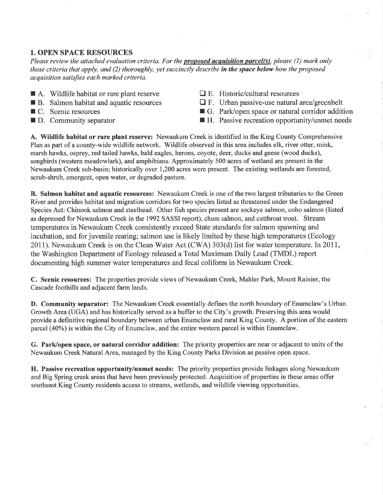## 1. OPEN SPACE RESOURCES

Please review the attached evaluation criteria. For the **proposed acquisition parcel(s)**, please (1) mark only those criteria that apply, and  $(2)$  thoroughly, yet succinctly describe in the space below how the proposed acquisition satisfies each marked criteria.

- $\blacksquare$  A. Wildlife habitat or rare plant reserve
- $\blacksquare$  B. Salmon habitat and aquatic resources
- $\blacksquare$  C. Scenic resources
- **F** D. Community separator
- $\Box$  E. Historic/cultural resources
- $\Box$  F. Urban passive-use natural area/greenbelt
- G. Park/open space or natural corridor addition
- $\blacksquare$  H. Passive recreation opportunity/unmet needs

A. Wildlife habitat or rare plant reserve: Newaukum Creek is identified in the King County Comprehensive Plan as part of a county-wide wildlife network. Wildlife observed in this area includes elk, river otter, mink, marsh hawks, osprey, red tailed hawks, bald eagles, herons, coyote, deer, ducks and geese (wood ducks), songbirds (western meadowlark), and amphibians. Approximately 500 acres of wetland are present in the Newaukum Creek sub-basin; historically over 1,200 acres were present. The existing wetlands are forested, scrub-shrub, emergent, open water, or degraded pasture.

B. Salmon habitat and aquatic resources: Newaukum Creek is one of the two largest tributaries to the Green River and provides habitat and migration corridors for two species listed as threatened under the Endangered Species Act: Chinook salmon and steelhead. Other fish species present are sockeye salmon, coho salmon (listed as depressed for Newaukum Creek in the 1992 SASSI report), chum salmon, and cutthroat trout. Stream temperatures in Newaukum Creek consistently exceed State standards for salmon spawning and incubation, and for juvenile rearing; salmon use is likely limited by these high temperatures (Ecology 2011). Newaukum Creek is on the Clean Water Act (CWA) 303(d) list for water temperature. In 2011, the Washington Department of Ecology released a Total Maximum Daily Load (TMDL) report documenting high summer water temperatures and fecal coliform in Newaukum Creek.

C. Scenic resources: The properties provide views of Newaukum Creek, Mahler Park, Mount Rainier, the Cascade foothills and adjacent farm lands.

D. Community separator: The Newaukum Creek essentially defines the north boundary of Enumclaw's Urban Growth Area (UGA) and has historically served as a buffer to the City's growth. Preserving this area would provide a definitive regional boundary between urban Enumclaw and rural King County. A portion of the eastern parcel (40%) is within the City of Enumclaw, and the entire western parcel is within Enumclaw.

G. Park/open space, or natural corridor addition: The priority properties are near or adjacent to units of the Newaukum Creek Natural Area, managed by the King County Parks Division as passive open space.

H. Passive recreation opportunity/unmet needs: The priority properties provide linkages along Newaukum and Big Spring creek areas that have been previously protected. Acquisition of properties in these areas offer southeast King County residents access to streams, wetlands, and wildlife viewing opportunities.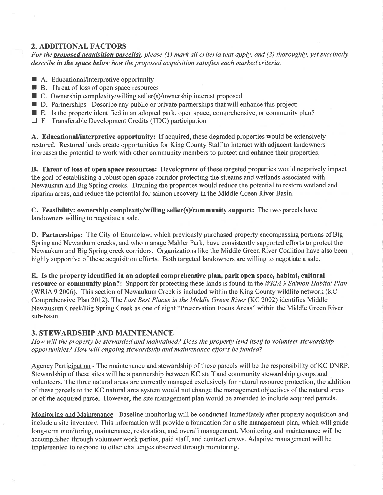## 2. ADDITIONAL FACTORS

For the **proposed acquisition parcel(s)**, please (1) mark all criteria that apply, and (2) thoroughly, yet succinctly describe in the space below how the proposed acquisition satisfies each marked criteria.

- A. Educational/interpretive opportunity
- $\blacksquare$  R. Educational interpretive opportunity  $\blacksquare$  B. Threat of loss of open space resources
- B. Threat of loss of open space resources<br>■ C. Ownership complexity/willing seller(s)/ownership interest proposed
- D. Partnerships Describe any public or private partnerships that will enhance this project:
- E. Is the property identified in an adopted park, open space, comprehensive, or community plan?
- □ F. Transferable Development Credits (TDC) participation

A. Educational/interpretive opportunity: If acquired, these degraded properties would be extensively restored. Restored lands create opportunities for King County Staff to interact with adjacent landowners increases the potential to work with other community members to protect and enhance their properties.

B. Threat of loss of open space resources: Development of these targeted properties would negatively impact the goal of establishing a robust open space corridor protecting the streams and wetlands associated with Newaukum and Big Spring creeks. Draining the properties would reduce the potential to restore wetland and riparian areas, and reduce the potential for salmon recovery in the Middle Green River Basin.

C. Feasibility: ownership complexity/willing seller(s)/community support: The two parcels have landowners willing to negotiate a sale.

D. Partnerships: The City of Enumclaw, which previously purchased property encompassing portions of Big Spring and Newaukum creeks, and who manage Mahler Park, have consistently supported efforts to protect the Newaukum and Big Spring creek corridors. Organizations like the Middle Green River Coalition have also been highly supportive of these acquisition efforts. Both targeted landowners are willing to negotiate a sale.

E. Is the property identified in an adopted comprehensive plan, park open space, habitat, cultural resource or community plan?: Support for protecting these lands is found in the WRIA 9 Salmon Habitat Plan (WRIA 9 2006). This section of Newaukum Creek is included within the King County wildlife network (KC Comprehensive Plan 2012). The Last Best Places in the Middle Green River (KC 2002) identifies Middle Newaukum Creek/Big Spring Creek as one of eight "Preseryation Focus Areas" within the Middle Green River sub-basin.

#### 3. STEWARDSHIP AND MAINTENANCE

How will the property be stewarded and maintained? Does the property lend itself to volunteer stewardship opportunities? How will ongoing stewardship and maintenance efforts be funded?

Agency Participation - The maintenance and stewardship of these parcels will be the responsibility of KC DNRP. Stewardship of these sites will be a partnership between KC staff and community stewardship groups and volunteers. The three natural areas are currently managed exclusively for natural resource protection; the addition of these parcels to the KC natural area system would not change the management objectives of the natural areas or of the acquired parcel. However, the site management plan would be amended to include acquired parcels.

Monitoring and Maintenance - Baseline monitoring will be conducted immediately after property acquisition and include a site inventory. This information will provide a foundation for a site management plan, which will guide long-term monitoring, maintenance, restoration, and overall management. Monitoring and maintenance will be accomplished through volunteer work parties, paid staff, and contract crews. Adaptive management will be implemented to respond to other challenges observed through monitoring.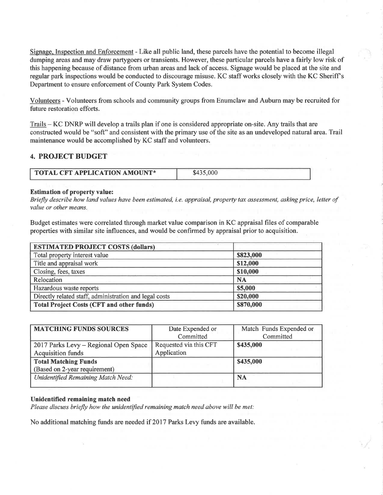Signage, Inspection and Enforcement - Like all public land, these parcels have the potential to become illegal dumping areas and may draw partygoers or transients. However, these particular parcels have a fairly low risk of this happening because of distance from urban areas and lack of access. Signage would be placed at the site and regular park inspections would be conducted to discourage misuse. KC staff works closely with the KC Sheriff <sup>s</sup> Department to ensure enforcement of County Park System Codes.

Volunteers - Volunteers from schools and community groups from Enumclaw and Auburn may be recruited for future restoration efforts.

Trails - KC DNRP will develop a trails plan if one is considered appropriate on-site. Any trails that are constructed would be "soft" and consistent with the primary use of the site as an undeveloped natural area. Trail maintenance would be accomplished by KC staff and volunteers.

#### 4. PROJECT BUDGET

| <b>TOTAL CFT APPLICATION AMOUNT*</b> | \$435,000 |
|--------------------------------------|-----------|
|                                      |           |

#### Estimation of property value:

Briefly describe how land values have been estimated, i.e. appraisal, property tax assessment, asking price, letter of value or other means.

Budget estimates were correlated through market value comparison in KC appraisal files of comparable properties with similar site influences, and would be confirmed by appraisal prior to acquisition.

| <b>ESTIMATED PROJECT COSTS (dollars)</b>               |           |
|--------------------------------------------------------|-----------|
| Total property interest value                          | \$823,000 |
| Title and appraisal work                               | \$12,000  |
| Closing, fees, taxes                                   | \$10,000  |
| Relocation                                             | <b>NA</b> |
| Hazardous waste reports                                | \$5,000   |
| Directly related staff, administration and legal costs | \$20,000  |
| <b>Total Project Costs (CFT and other funds)</b>       | \$870,000 |

| <b>MATCHING FUNDS SOURCES</b>         | Date Expended or       | Match Funds Expended or |
|---------------------------------------|------------------------|-------------------------|
|                                       | Committed              | Committed               |
| 2017 Parks Levy - Regional Open Space | Requested via this CFT | \$435,000               |
| <b>Acquisition funds</b>              | Application            |                         |
| Total Matching Funds                  |                        | \$435,000               |
| (Based on 2-year requirement)         |                        |                         |
| Unidentified Remaining Match Need:    |                        | <b>NA</b>               |
|                                       |                        |                         |

#### Unidentified remaining match need

Please discuss briefly how the unidentified remaining match need above will be met:

No additional matching funds are needed if 2017 Parks Levy funds are available.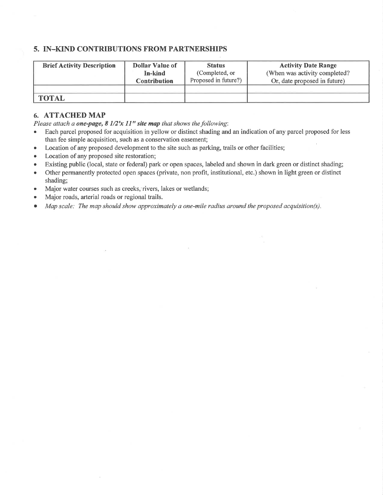#### 5. IN-KIND CONTRIBUTIONS FROM PARTNERSHIPS

| <b>Brief Activity Description</b> | <b>Dollar Value of</b> | <b>Status</b>        | <b>Activity Date Range</b>    |
|-----------------------------------|------------------------|----------------------|-------------------------------|
|                                   | In-kind                | (Completed, or       | (When was activity completed? |
|                                   | <b>Contribution</b>    | Proposed in future?) | Or, date proposed in future)  |
|                                   |                        |                      |                               |
| <b>TOTAL</b>                      |                        |                      |                               |

#### 6. ATTACHED MAP

Please attach a one-page,  $8\frac{1}{2}x\frac{11}{x}$  site map that shows the following:

- Each parcel proposed for acquisition in yellow or distinct shading and an indication of any parcel proposed for less than fee simple acquisition, such as a conservation easement;
- Location of any proposed development to the site such as parking, trails or other facilities;
- Location of any proposed site restoration;
- o Existing public (local, state or federal) park or open spaces, labeled and shown in dark green or distinct shading;
- Other permanently protected open spaces (private, non profit, institutional, etc.) shown in light green or distinct shading;
- . Major water courses such as creeks, rivers, lakes or wetlands;
- . Major roads, arterial roads or regional trails.
- $\bullet$  Map scale: The map should show approximately a one-mile radius around the proposed acquisition(s).